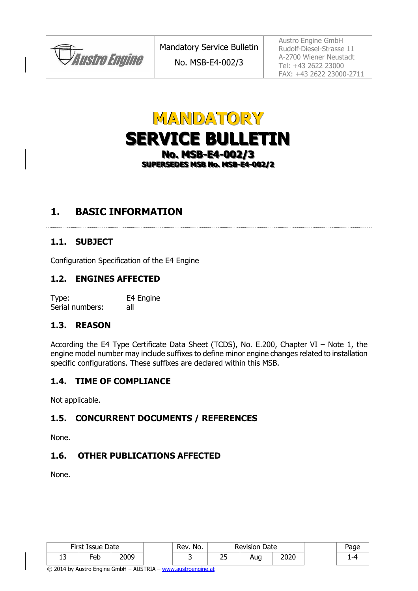**JAustro Engine** 

No. MSB-E4-002/3

Austro Engine GmbH Rudolf-Diesel-Strasse 11 A-2700 Wiener Neustadt Tel: +43 2622 23000 FAX: +43 2622 23000-2711



## **1. BASIC INFORMATION**

#### **1.1. SUBJECT**

Configuration Specification of the E4 Engine

#### **1.2. ENGINES AFFECTED**

Type: E4 Engine Serial numbers: all

#### **1.3. REASON**

According the E4 Type Certificate Data Sheet (TCDS), No. E.200, Chapter VI – Note 1, the engine model number may include suffixes to define minor engine changes related to installation specific configurations. These suffixes are declared within this MSB.

#### **1.4. TIME OF COMPLIANCE**

Not applicable.

#### **1.5. CONCURRENT DOCUMENTS / REFERENCES**

None.

#### **1.6. OTHER PUBLICATIONS AFFECTED**

None.

| First Issue Date |        | No.<br>Rev. | Revision Date |    | Page |      |  |
|------------------|--------|-------------|---------------|----|------|------|--|
| --               | $E$ eb | nna         |               | بے | Aug  | วกวก |  |

© 2014 by Austro Engine GmbH – AUSTRIA – www.austroengine.at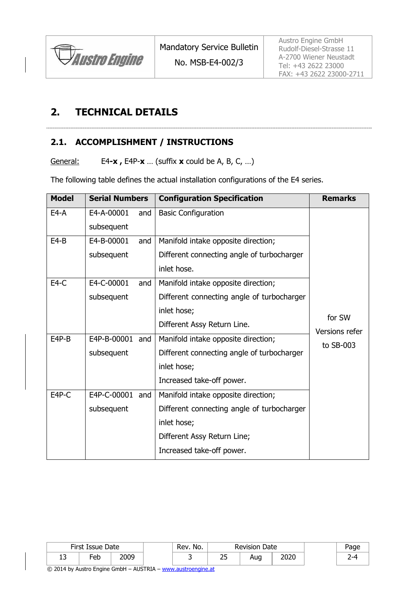

#### No. MSB-E4-002/3

# **2. TECHNICAL DETAILS**

#### **2.1. ACCOMPLISHMENT / INSTRUCTIONS**

General: E4**-x ,** E4P-**x** … (suffix **x** could be A, B, C, …)

The following table defines the actual installation configurations of the E4 series.

| <b>Model</b> | <b>Serial Numbers</b>                                    |     | <b>Configuration Specification</b>         | <b>Remarks</b> |
|--------------|----------------------------------------------------------|-----|--------------------------------------------|----------------|
| $E4-A$       | E4-A-00001                                               | and | <b>Basic Configuration</b>                 |                |
|              | subsequent                                               |     |                                            |                |
| $E4-B$       | E4-B-00001                                               | and | Manifold intake opposite direction;        |                |
|              | subsequent                                               |     | Different connecting angle of turbocharger |                |
|              |                                                          |     | inlet hose.                                |                |
| $E4-C$       | E4-C-00001                                               | and | Manifold intake opposite direction;        |                |
|              | subsequent                                               |     | Different connecting angle of turbocharger |                |
|              | inlet hose;                                              |     | for SW                                     |                |
|              |                                                          |     | Different Assy Return Line.                | Versions refer |
| $E4P-B$      | E4P-B-00001 and<br>Manifold intake opposite direction;   |     | to SB-003                                  |                |
|              | subsequent<br>Different connecting angle of turbocharger |     |                                            |                |
|              | inlet hose;                                              |     |                                            |                |
|              |                                                          |     | Increased take-off power.                  |                |
| E4P-C        | E4P-C-00001 and                                          |     | Manifold intake opposite direction;        |                |
|              | subsequent                                               |     | Different connecting angle of turbocharger |                |
|              |                                                          |     | inlet hose;                                |                |
|              |                                                          |     | Different Assy Return Line;                |                |
|              |                                                          |     | Increased take-off power.                  |                |

| First Issue Date |          | No.<br>Rev. | <b>Revision Date</b> |         |     |      |  |
|------------------|----------|-------------|----------------------|---------|-----|------|--|
| ∸                | -<br>⊦eb | 2UUC        |                      | חר<br>້ | Aua | 2020 |  |

© 2014 by Austro Engine GmbH – AUSTRIA – www.austroengine.at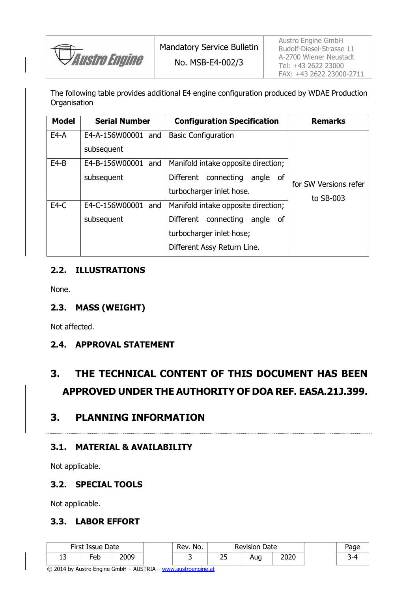

No. MSB-E4-002/3

The following table provides additional E4 engine configuration produced by WDAE Production **Organisation** 

| <b>Model</b> | <b>Serial Number</b>  | <b>Configuration Specification</b>  | <b>Remarks</b>        |
|--------------|-----------------------|-------------------------------------|-----------------------|
| $E4-A$       | E4-A-156W00001 and    | <b>Basic Configuration</b>          |                       |
|              | subsequent            |                                     |                       |
| $E4-B$       | E4-B-156W00001 and    | Manifold intake opposite direction; |                       |
|              | subsequent            | Different connecting<br>angle of    | for SW Versions refer |
|              |                       | turbocharger inlet hose.            | to $SB-003$           |
| $E4-C$       | E4-C-156W00001<br>and | Manifold intake opposite direction; |                       |
|              | subsequent            | Different connecting<br>angle of    |                       |
|              |                       | turbocharger inlet hose;            |                       |
|              |                       | Different Assy Return Line.         |                       |

#### **2.2. ILLUSTRATIONS**

None.

#### **2.3. MASS (WEIGHT)**

Not affected.

#### **2.4. APPROVAL STATEMENT**

# **3. THE TECHNICAL CONTENT OF THIS DOCUMENT HAS BEEN APPROVED UNDER THE AUTHORITY OF DOA REF. EASA.21J.399.**

### **3. PLANNING INFORMATION**

### **3.1. MATERIAL & AVAILABILITY**

Not applicable.

#### **3.2. SPECIAL TOOLS**

Not applicable.

#### **3.3. LABOR EFFORT**

| First Issue Date |            | Rev. No. | <b>Revision Date</b> |    | 'age |      |                       |
|------------------|------------|----------|----------------------|----|------|------|-----------------------|
| ∸                | - 1<br>-eb | ח∩ר      |                      | بے | Aug  | הרחר | $\tilde{\phantom{a}}$ |

© 2014 by Austro Engine GmbH – AUSTRIA – www.austroengine.at